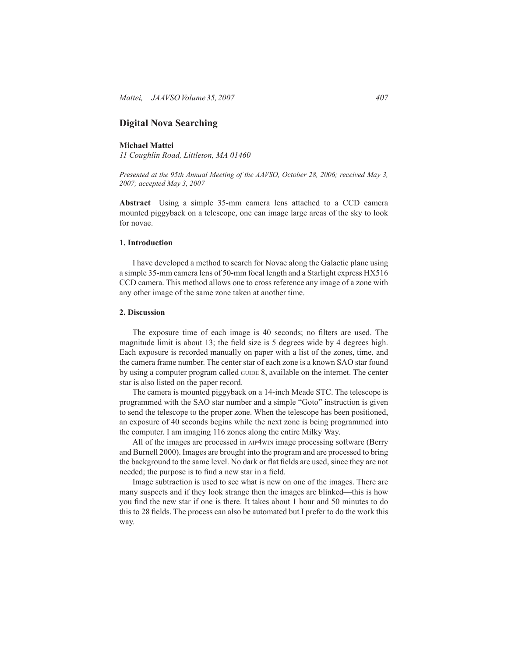# **Digital Nova Searching**

# **Michael Mattei**

*11 Coughlin Road, Littleton, MA 01460*

*Presented at the 95th Annual Meeting of the AAVSO, October 28, 2006; received May 3, 2007; accepted May 3, 2007*

**Abstract** Using a simple 35-mm camera lens attached to a CCD camera mounted piggyback on a telescope, one can image large areas of the sky to look for novae.

#### **1. Introduction**

I have developed a method to search for Novae along the Galactic plane using a simple 35-mm camera lens of 50-mm focal length and a Starlight express HX516 CCD camera. This method allows one to cross reference any image of a zone with any other image of the same zone taken at another time.

### **2. Discussion**

 The exposure time of each image is 40 seconds; no filters are used. The magnitude limit is about 13; the field size is 5 degrees wide by 4 degrees high. Each exposure is recorded manually on paper with a list of the zones, time, and the camera frame number. The center star of each zone is a known SAO star found by using a computer program called guide 8, available on the internet. The center star is also listed on the paper record.

The camera is mounted piggyback on a 14-inch Meade STC. The telescope is programmed with the SAO star number and a simple "Goto" instruction is given to send the telescope to the proper zone. When the telescope has been positioned, an exposure of 40 seconds begins while the next zone is being programmed into the computer. I am imaging 116 zones along the entire Milky Way.

All of the images are processed in aip4win image processing software (Berry and Burnell 2000). Images are brought into the program and are processed to bring the background to the same level. No dark or flat fields are used, since they are not needed; the purpose is to find a new star in a field.

Image subtraction is used to see what is new on one of the images. There are many suspects and if they look strange then the images are blinked—this is how you find the new star if one is there. It takes about 1 hour and 50 minutes to do this to 28 fields. The process can also be automated but I prefer to do the work this way.